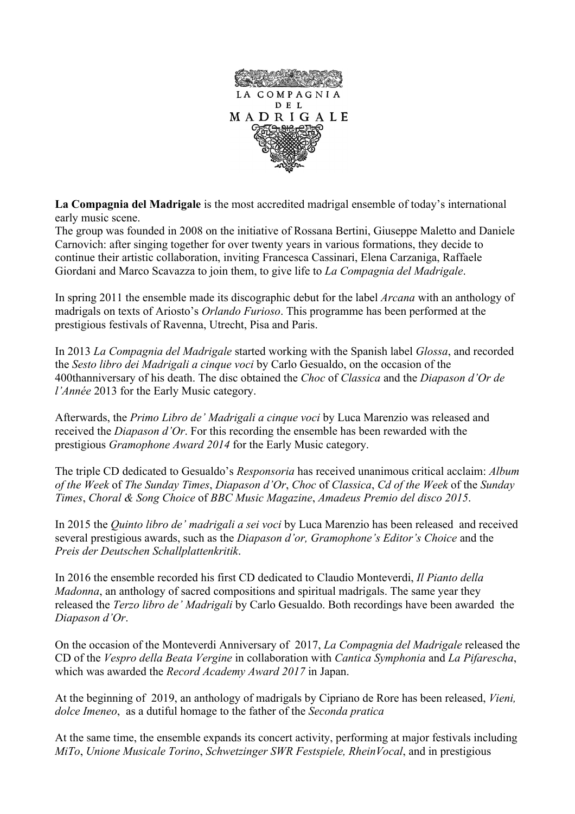

**La Compagnia del Madrigale** is the most accredited madrigal ensemble of today's international early music scene.

The group was founded in 2008 on the initiative of Rossana Bertini, Giuseppe Maletto and Daniele Carnovich: after singing together for over twenty years in various formations, they decide to continue their artistic collaboration, inviting Francesca Cassinari, Elena Carzaniga, Raffaele Giordani and Marco Scavazza to join them, to give life to *La Compagnia del Madrigale*.

In spring 2011 the ensemble made its discographic debut for the label *Arcana* with an anthology of madrigals on texts of Ariosto's *Orlando Furioso*. This programme has been performed at the prestigious festivals of Ravenna, Utrecht, Pisa and Paris.

In 2013 *La Compagnia del Madrigale* started working with the Spanish label *Glossa*, and recorded the *Sesto libro dei Madrigali a cinque voci* by Carlo Gesualdo, on the occasion of the 400thanniversary of his death. The disc obtained the *Choc* of *Classica* and the *Diapason d'Or de l'Année* 2013 for the Early Music category.

Afterwards, the *Primo Libro de' Madrigali a cinque voci* by Luca Marenzio was released and received the *Diapason d'Or*. For this recording the ensemble has been rewarded with the prestigious *Gramophone Award 2014* for the Early Music category.

The triple CD dedicated to Gesualdo's *Responsoria* has received unanimous critical acclaim: *Album of the Week* of *The Sunday Times*, *Diapason d'Or*, *Choc* of *Classica*, *Cd of the Week* of the *Sunday Times*, *Choral & Song Choice* of *BBC Music Magazine*, *Amadeus Premio del disco 2015*.

In 2015 the *Quinto libro de' madrigali a sei voci* by Luca Marenzio has been released and received several prestigious awards, such as the *Diapason d'or, Gramophone's Editor's Choice* and the *Preis der Deutschen Schallplattenkritik*.

In 2016 the ensemble recorded his first CD dedicated to Claudio Monteverdi, *Il Pianto della Madonna*, an anthology of sacred compositions and spiritual madrigals. The same year they released the *Terzo libro de' Madrigali* by Carlo Gesualdo. Both recordings have been awarded the *Diapason d'Or*.

On the occasion of the Monteverdi Anniversary of 2017, *La Compagnia del Madrigale* released the CD of the *Vespro della Beata Vergine* in collaboration with *Cantica Symphonia* and *La Pifarescha*, which was awarded the *Record Academy Award 2017* in Japan.

At the beginning of 2019, an anthology of madrigals by Cipriano de Rore has been released, *Vieni, dolce Imeneo*, as a dutiful homage to the father of the *Seconda pratica*

At the same time, the ensemble expands its concert activity, performing at major festivals including *MiTo*, *Unione Musicale Torino*, *Schwetzinger SWR Festspiele, RheinVocal*, and in prestigious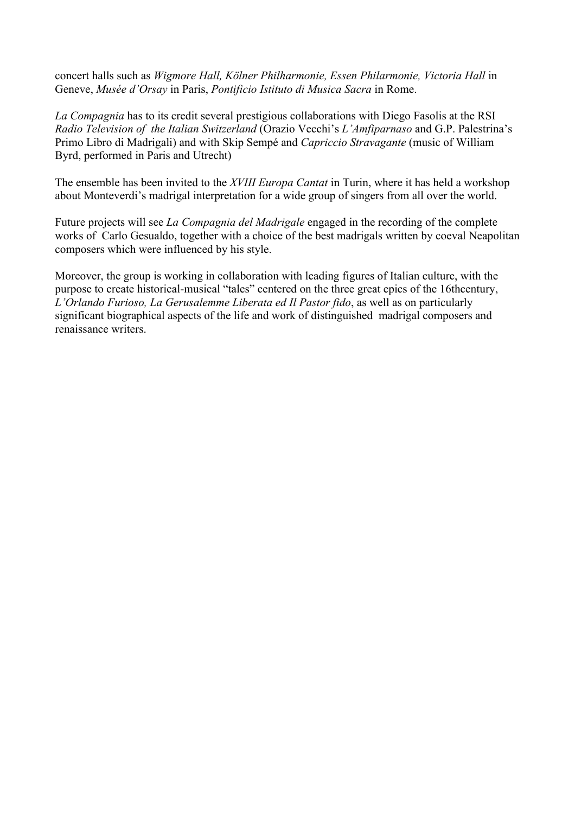concert halls such as *Wigmore Hall, Kölner Philharmonie, Essen Philarmonie, Victoria Hall* in Geneve, *Musée d'Orsay* in Paris, *Pontificio Istituto di Musica Sacra* in Rome.

*La Compagnia* has to its credit several prestigious collaborations with Diego Fasolis at the RSI *Radio Television of the Italian Switzerland* (Orazio Vecchi's *L'Amfiparnaso* and G.P. Palestrina's Primo Libro di Madrigali) and with Skip Sempé and *Capriccio Stravagante* (music of William Byrd, performed in Paris and Utrecht)

The ensemble has been invited to the *XVIII Europa Cantat* in Turin, where it has held a workshop about Monteverdi's madrigal interpretation for a wide group of singers from all over the world.

Future projects will see *La Compagnia del Madrigale* engaged in the recording of the complete works of Carlo Gesualdo, together with a choice of the best madrigals written by coeval Neapolitan composers which were influenced by his style.

Moreover, the group is working in collaboration with leading figures of Italian culture, with the purpose to create historical-musical "tales" centered on the three great epics of the 16thcentury, *L'Orlando Furioso, La Gerusalemme Liberata ed Il Pastor fido*, as well as on particularly significant biographical aspects of the life and work of distinguished madrigal composers and renaissance writers.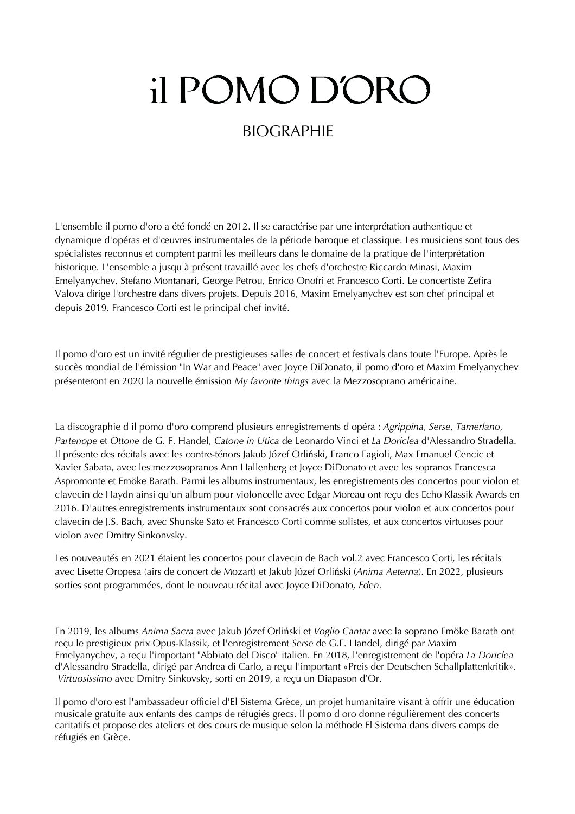# il POMO D'ORO

# BIOGRAPHIE

L'ensemble il pomo d'oro a été fondé en 2012. Il se caractérise par une interprétation authentique et dynamique d'opéras et d'œuvres instrumentales de la période baroque et classique. Les musiciens sont tous des spécialistes reconnus et comptent parmi les meilleurs dans le domaine de la pratique de l'interprétation historique. L'ensemble a jusqu'à présent travaillé avec les chefs d'orchestre Riccardo Minasi, Maxim Emelyanychev, Stefano Montanari, George Petrou, Enrico Onofri et Francesco Corti. Le concertiste Zefira Valova dirige l'orchestre dans divers projets. Depuis 2016, Maxim Emelyanychev est son chef principal et depuis 2019, Francesco Corti est le principal chef invité.

Il pomo d'oro est un invité régulier de prestigieuses salles de concert et festivals dans toute l'Europe. Après le succès mondial de l'émission "In War and Peace" avec Joyce DiDonato, il pomo d'oro et Maxim Emelyanychev présenteront en 2020 la nouvelle émission *My favorite things* avec la Mezzosoprano américaine.

La discographie d'il pomo d'oro comprend plusieurs enregistrements d'opéra : *Agrippina*, *Serse*, *Tamerlano*, *Partenope* et *Ottone* de G. F. Handel, *Catone in Utica* de Leonardo Vinci et *La Doriclea* d'Alessandro Stradella. Il présente des récitals avec les contre-ténors Jakub Józef Orliński, Franco Fagioli, Max Emanuel Cencic et Xavier Sabata, avec les mezzosopranos Ann Hallenberg et Joyce DiDonato et avec les sopranos Francesca Aspromonte et Emöke Barath. Parmi les albums instrumentaux, les enregistrements des concertos pour violon et clavecin de Haydn ainsi qu'un album pour violoncelle avec Edgar Moreau ont reçu des Echo Klassik Awards en 2016. D'autres enregistrements instrumentaux sont consacrés aux concertos pour violon et aux concertos pour clavecin de J.S. Bach, avec Shunske Sato et Francesco Corti comme solistes, et aux concertos virtuoses pour violon avec Dmitry Sinkonvsky.

Les nouveautés en 2021 étaient les concertos pour clavecin de Bach vol.2 avec Francesco Corti, les récitals avec Lisette Oropesa (airs de concert de Mozart) et Jakub Józef Orliński (*Anima Aeterna*). En 2022, plusieurs sorties sont programmées, dont le nouveau récital avec Joyce DiDonato, *Eden*.

En 2019, les albums *Anima Sacra* avec Jakub Józef Orliński et *Voglio Cantar* avec la soprano Emöke Barath ont reçu le prestigieux prix Opus-Klassik, et l'enregistrement *Serse* de G.F. Handel, dirigé par Maxim Emelyanychev, a reçu l'important "Abbiato del Disco" italien. En 2018, l'enregistrement de l'opéra *La Doriclea* d'Alessandro Stradella, dirigé par Andrea di Carlo, a reçu l'important «Preis der Deutschen Schallplattenkritik». *Virtuosissimo* avec Dmitry Sinkovsky, sorti en 2019, a reçu un Diapason d'Or.

Il pomo d'oro est l'ambassadeur officiel d'El Sistema Grèce, un projet humanitaire visant à offrir une éducation musicale gratuite aux enfants des camps de réfugiés grecs. Il pomo d'oro donne régulièrement des concerts caritatifs et propose des ateliers et des cours de musique selon la méthode El Sistema dans divers camps de réfugiés en Grèce.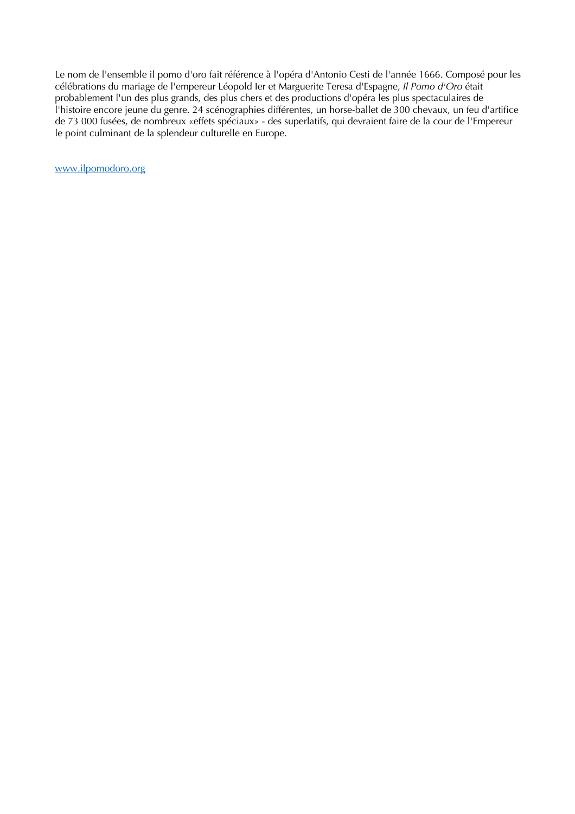Le nom de l'ensemble il pomo d'oro fait référence à l'opéra d'Antonio Cesti de l'année 1666. Composé pour les célébrations du mariage de l'empereur Léopold Ier et Marguerite Teresa d'Espagne, *Il Pomo d'Oro* était probablement l'un des plus grands, des plus chers et des productions d'opéra les plus spectaculaires de l'histoire encore jeune du genre. 24 scénographies différentes, un horse-ballet de 300 chevaux, un feu d'artifice de 73 000 fusées, de nombreux «effets spéciaux» - des superlatifs, qui devraient faire de la cour de l'Empereur le point culminant de la splendeur culturelle en Europe.

www.ilpomodoro.org